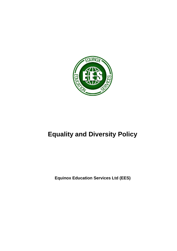

# **Equality and Diversity Policy**

**Equinox Education Services Ltd (EES)**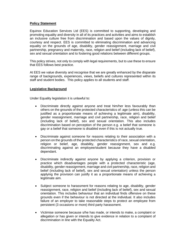## **Policy Statement**

Equinox Education Services Ltd (EES) is committed to supporting, developing and promoting equality and diversity in all of its practices and activities and aims to establish an inclusive culture free from discrimination and based upon the values of dignity, courtesy and respect. EES is committed to eliminating discrimination and advancing equality on the grounds of age, disability, gender reassignment, marriage and civil partnership, pregnancy and maternity, race, religion and belief (including lack of belief), sex and sexual orientation and to fostering good relations between different groups.

This policy strives, not only to comply with legal requirements, but to use these to ensure that EES follows best practice.

At EES we value diversity and recognise that we are greatly enhanced by the disparate range of backgrounds, experiences, views, beliefs and cultures represented within its staff and student bodies. This policy applies to all students and staff.

## **Legislative Background**

Under Equality legislation it is unlawful to:

- Discriminate directly against anyone and treat him/her less favourably than others on the grounds of the protected characteristics of: age (unless this can be justified as a proportionate means of achieving a legitimate aim), disability, gender reassignment, marriage and civil partnership, race, religion and belief (including lack of belief), sex and sexual orientation. This also includes discrimination based on perception of the person e.g. a belief that someone is gay or a belief that someone is disabled even if this is not actually true.
- Discriminate against someone for reasons relating to their association with a person on the grounds of the protected characteristics of race, sexual orientation, religion or belief, age, disability, gender reassignment, sex and e.g. discriminating against an employee/student because they have a disabled dependant.
- Discriminate indirectly against anyone by applying a criterion, provision or practice which disadvantages people with a protected characteristic (age, disability, gender reassignment, marriage and civil partnership, race, religion and belief (including lack of belief), sex and sexual orientation) unless the person applying the provision can justify it as a proportionate means of achieving a legitimate aim.
- Subject someone to harassment for reasons relating to age, disability, gender reassignment, race, religion and belief (including lack of belief), sex and sexual orientation. This includes behaviour that an individual finds offensive on these grounds even if the behaviour is not directed at the individual. It also includes failure of an employer to take reasonable steps to protect an employee from persistent (3 occasions or more) third party harassment.
- Victimise someone because s/he has made, or intends to make, a complaint or allegation or has given or intends to give evidence in relation to a complaint of discrimination in line with the Equality Act.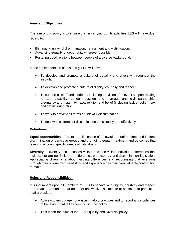# **Aims and Objectives:**

The aim of this policy is to ensure that in carrying out its activities EES will have due regard to:

- Eliminating unlawful discrimination, harassment and victimisation.
- Advancing equality of opportunity wherever possible.
- Fostering good relations between people of a diverse background.

In the implementation of this policy EES will aim:

- To develop and promote a culture of equality and diversity throughout the institution.
- To develop and promote a culture of dignity, courtesy and respect.
- To support all staff and students, including provision of relevant support relating to age, disability, gender reassignment, marriage and civil partnership, pregnancy and maternity, race, religion and belief (including lack of belief), sex and sexual orientation.
- To work to prevent all forms of unlawful discrimination.
- To deal with all forms of discrimination consistently and effectively.

#### **Definitions:**

**Equal opportunities** refers to the elimination of unlawful and unfair direct and indirect discrimination of particular groups and promoting equal , treatment and outcomes that take into account specific needs of individuals.

**Diversity** - Diversity encompasses visible and non-visible individual differences that include, but are not limited to, differences protected by anti-discrimination legislation. Appreciating diversity is about valuing differences and recognising that everyone through their unique mixture of skills and experience has their own valuable contribution to make.

# **Roles and Responsibilities:**

It is incumbent upon all members of EES to behave with dignity, courtesy and respect and to act in a manner that does not unlawfully discriminate at all times. In particular, staff are asked:

- Actively to encourage non-discriminatory practices and to report any incidences of behaviour that fail to comply with this policy.
- To support the aims of the EES Equality and Diversity policy.